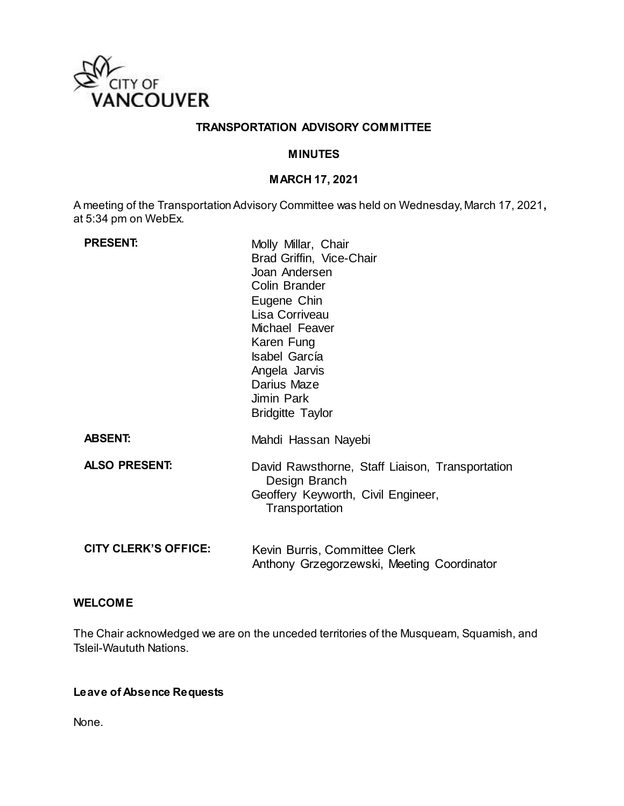

### **TRANSPORTATION ADVISORY COMMITTEE**

### **MINUTES**

# **MARCH 17, 2021**

A meeting of the Transportation Advisory Committee was held on Wednesday, March 17, 2021**,** at 5:34 pm on WebEx.

| <b>PRESENT:</b>             | Molly Millar, Chair<br>Brad Griffin, Vice-Chair<br>Joan Andersen<br>Colin Brander<br>Eugene Chin<br>Lisa Corriveau<br>Michael Feaver<br>Karen Fung<br><b>Isabel García</b><br>Angela Jarvis<br>Darius Maze<br>Jimin Park<br><b>Bridgitte Taylor</b> |
|-----------------------------|-----------------------------------------------------------------------------------------------------------------------------------------------------------------------------------------------------------------------------------------------------|
| <b>ABSENT:</b>              | Mahdi Hassan Nayebi                                                                                                                                                                                                                                 |
| <b>ALSO PRESENT:</b>        | David Rawsthorne, Staff Liaison, Transportation<br>Design Branch<br>Geoffery Keyworth, Civil Engineer,<br>Transportation                                                                                                                            |
| <b>CITY CLERK'S OFFICE:</b> | Kevin Burris, Committee Clerk<br>Anthony Grzegorzewski, Meeting Coordinator                                                                                                                                                                         |

### **WELCOME**

The Chair acknowledged we are on the unceded territories of the Musqueam, Squamish, and Tsleil-Waututh Nations.

# **Leave of Absence Requests**

None.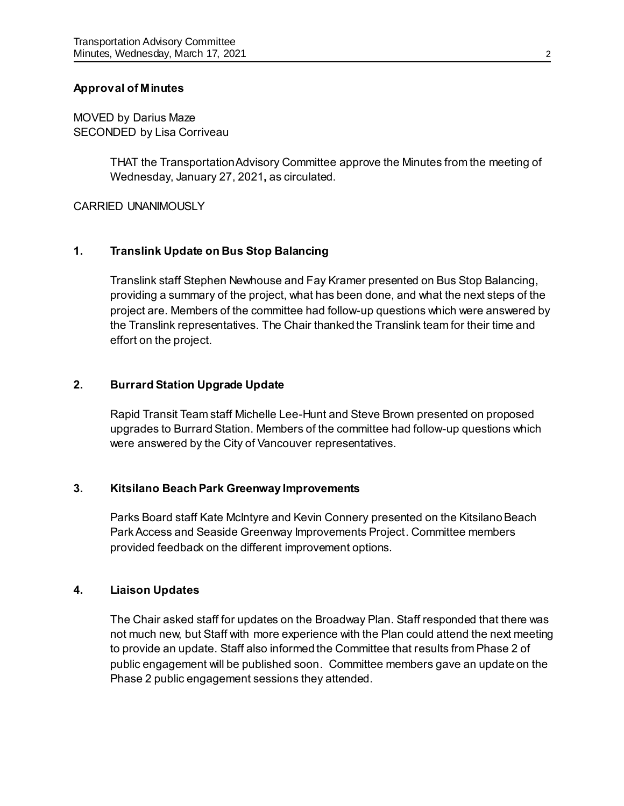### **Approval of Minutes**

MOVED by Darius Maze SECONDED by Lisa Corriveau

> THAT the Transportation Advisory Committee approve the Minutes from the meeting of Wednesday, January 27, 2021**,** as circulated.

#### CARRIED UNANIMOUSLY

## **1. Translink Update on Bus Stop Balancing**

Translink staff Stephen Newhouse and Fay Kramer presented on Bus Stop Balancing, providing a summary of the project, what has been done, and what the next steps of the project are. Members of the committee had follow-up questions which were answered by the Translink representatives. The Chair thanked the Translink team for their time and effort on the project.

### **2. Burrard Station Upgrade Update**

Rapid Transit Team staff Michelle Lee-Hunt and Steve Brown presented on proposed upgrades to Burrard Station. Members of the committee had follow-up questions which were answered by the City of Vancouver representatives.

### **3. Kitsilano Beach Park Greenway Improvements**

Parks Board staff Kate McIntyre and Kevin Connery presented on the Kitsilano Beach Park Access and Seaside Greenway Improvements Project. Committee members provided feedback on the different improvement options.

### **4. Liaison Updates**

The Chair asked staff for updates on the Broadway Plan. Staff responded that there was not much new, but Staff with more experience with the Plan could attend the next meeting to provide an update. Staff also informed the Committee that results from Phase 2 of public engagement will be published soon. Committee members gave an update on the Phase 2 public engagement sessions they attended.